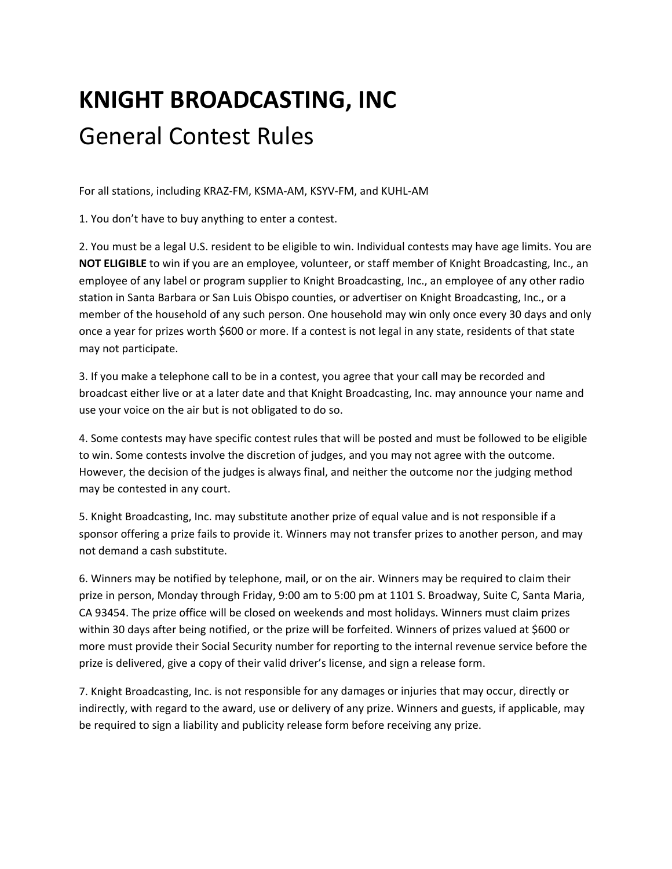## **KNIGHT BROADCASTING, INC** General Contest Rules

For all stations, including KRAZ‐FM, KSMA‐AM, KSYV‐FM, and KUHL‐AM

1. You don't have to buy anything to enter a contest.

2. You must be a legal U.S. resident to be eligible to win. Individual contests may have age limits. You are **NOT ELIGIBLE** to win if you are an employee, volunteer, or staff member of Knight Broadcasting, Inc., an employee of any label or program supplier to Knight Broadcasting, Inc., an employee of any other radio station in Santa Barbara or San Luis Obispo counties, or advertiser on Knight Broadcasting, Inc., or a member of the household of any such person. One household may win only once every 30 days and only once a year for prizes worth \$600 or more. If a contest is not legal in any state, residents of that state may not participate.

3. If you make a telephone call to be in a contest, you agree that your call may be recorded and broadcast either live or at a later date and that Knight Broadcasting, Inc. may announce your name and use your voice on the air but is not obligated to do so.

4. Some contests may have specific contest rules that will be posted and must be followed to be eligible to win. Some contests involve the discretion of judges, and you may not agree with the outcome. However, the decision of the judges is always final, and neither the outcome nor the judging method may be contested in any court.

5. Knight Broadcasting, Inc. may substitute another prize of equal value and is not responsible if a sponsor offering a prize fails to provide it. Winners may not transfer prizes to another person, and may not demand a cash substitute.

6. Winners may be notified by telephone, mail, or on the air. Winners may be required to claim their prize in person, Monday through Friday, 9:00 am to 5:00 pm at 1101 S. Broadway, Suite C, Santa Maria, CA 93454. The prize office will be closed on weekends and most holidays. Winners must claim prizes within 30 days after being notified, or the prize will be forfeited. Winners of prizes valued at \$600 or more must provide their Social Security number for reporting to the internal revenue service before the prize is delivered, give a copy of their valid driver's license, and sign a release form.

7. Knight Broadcasting, Inc. is not responsible for any damages or injuries that may occur, directly or indirectly, with regard to the award, use or delivery of any prize. Winners and guests, if applicable, may be required to sign a liability and publicity release form before receiving any prize.